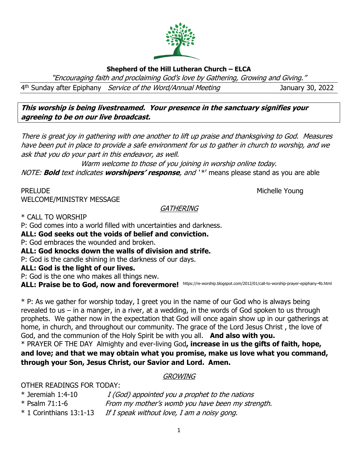# **Shepherd of the Hill Lutheran Church – ELCA**

"Encouraging faith and proclaiming God's love by Gathering, Growing and Giving."

4<sup>th</sup> Sunday after Epiphany *Service of the Word/Annual Meeting* January 30, 2022

**This worship is being livestreamed. Your presence in the sanctuary signifies your agreeing to be on our live broadcast.** 

There is great joy in gathering with one another to lift up praise and thanksgiving to God. Measures have been put in place to provide a safe environment for us to gather in church to worship, and we ask that you do your part in this endeavor, as well.

Warm welcome to those of you joining in worship online today.

NOTE: **Bold** text indicates **worshipers' response**, and ' \*' means please stand as you are able

PRELUDE NOUNE ALL AND THE SERVICE OF THE SERVICE OF THE MICHELLE YOUNG WELCOME/MINISTRY MESSAGE

#### **GATHERING**

\* CALL TO WORSHIP

P: God comes into a world filled with uncertainties and darkness.

**ALL: God seeks out the voids of belief and conviction.**

P: God embraces the wounded and broken.

**ALL: God knocks down the walls of division and strife.**

P: God is the candle shining in the darkness of our days.

**ALL: God is the light of our lives.**

P: God is the one who makes all things new.

ALL: Praise be to God, now and forevermore! https://re-worship.blogspot.com/2012/01/call-to-worship-prayer-epiphany-4b.html

\* P: As we gather for worship today, I greet you in the name of our God who is always being revealed to us – in a manger, in a river, at a wedding, in the words of God spoken to us through prophets. We gather now in the expectation that God will once again show up in our gatherings at home, in church, and throughout our community. The grace of the Lord Jesus Christ , the love of God, and the communion of the Holy Spirit be with you all. **And also with you.** \* PRAYER OF THE DAYAlmighty and ever-living God**, increase in us the gifts of faith, hope, and love; and that we may obtain what you promise, make us love what you command, through your Son, Jesus Christ, our Savior and Lord. Amen.**

## GROWING

OTHER READINGS FOR TODAY:

| $*$ Jeremiah 1:4-10       | I (God) appointed you a prophet to the nations   |
|---------------------------|--------------------------------------------------|
| * Psalm 71:1-6            | From my mother's womb you have been my strength. |
| $*$ 1 Corinthians 13:1-13 | If I speak without love, I am a noisy gong.      |

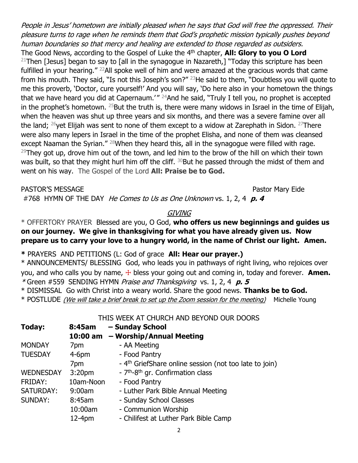People in Jesus' hometown are initially pleased when he says that God will free the oppressed. Their pleasure turns to rage when he reminds them that God's prophetic mission typically pushes beyond human boundaries so that mercy and healing are extended to those regarded as outsiders.

The Good News, according to the Gospel of Luke the 4<sup>th</sup> chapter, **All: Glory to you O Lord** <sup>21</sup>Then [Jesus] began to say to [all in the synagogue in Nazareth,] "Today this scripture has been fulfilled in your hearing." <sup>22</sup>All spoke well of him and were amazed at the gracious words that came from his mouth. They said, "Is not this Joseph's son?" <sup>23</sup>He said to them, "Doubtless you will quote to me this proverb, 'Doctor, cure yourself!' And you will say, 'Do here also in your hometown the things that we have heard you did at Capernaum.<sup> $1''$  24</sup>And he said, "Truly I tell you, no prophet is accepted in the prophet's hometown.  $25$ But the truth is, there were many widows in Israel in the time of Elijah, when the heaven was shut up three years and six months, and there was a severe famine over all the land;  $^{26}$ yet Elijah was sent to none of them except to a widow at Zarephath in Sidon.  $^{27}$ There were also many lepers in Israel in the time of the prophet Elisha, and none of them was cleansed except Naaman the Syrian."<sup>28</sup>When they heard this, all in the synagogue were filled with rage. <sup>29</sup>They got up, drove him out of the town, and led him to the brow of the hill on which their town was built, so that they might hurl him off the cliff. <sup>30</sup>But he passed through the midst of them and went on his way. The Gospel of the Lord **All: Praise be to God.**

PASTOR'S MESSAGE **PASTOR'S MESSAGE** 

#768 HYMN OF THE DAY He Comes to Us as One Unknown vs. 1, 2, 4 **p. 4**

## GIVING

## \* OFFERTORY PRAYER Blessed are you, O God, **who offers us new beginnings and guides us on our journey. We give in thanksgiving for what you have already given us. Now prepare us to carry your love to a hungry world, in the name of Christ our light. Amen.**

**\*** PRAYERS AND PETITIONS (L: God of grace **All: Hear our prayer.)**

\* ANNOUNCEMENTS/ BLESSING God, who leads you in pathways of right living, who rejoices over you, and who calls you by name,  $\pm$  bless your going out and coming in, today and forever. **Amen.** \* Green #559SENDING HYMN Praise and Thanksgiving vs. 1, 2, 4 **p. 5**

\* DISMISSAL Go with Christ into a weary world. Share the good news. **Thanks be to God.**

\* POSTLUDE *(We will take a brief break to set up the Zoom session for the meeting)* Michelle Young

THIS WEEK AT CHURCH AND BEYOND OUR DOORS

| Today:           | 8:45am             | - Sunday School                                                    |
|------------------|--------------------|--------------------------------------------------------------------|
|                  |                    | 10:00 am - Worship/Annual Meeting                                  |
| <b>MONDAY</b>    | 7pm                | - AA Meeting                                                       |
| <b>TUESDAY</b>   | $4-6$ pm           | - Food Pantry                                                      |
|                  | 7 <sub>pm</sub>    | - 4 <sup>th</sup> GriefShare online session (not too late to join) |
| <b>WEDNESDAY</b> | 3:20 <sub>pm</sub> | - 7 <sup>th</sup> -8 <sup>th</sup> gr. Confirmation class          |
| FRIDAY:          | 10am-Noon          | - Food Pantry                                                      |
| SATURDAY:        | 9:00am             | - Luther Park Bible Annual Meeting                                 |
| <b>SUNDAY:</b>   | 8:45am             | - Sunday School Classes                                            |
|                  | 10:00am            | - Communion Worship                                                |
|                  | 12-4pm             | - Chilifest at Luther Park Bible Camp                              |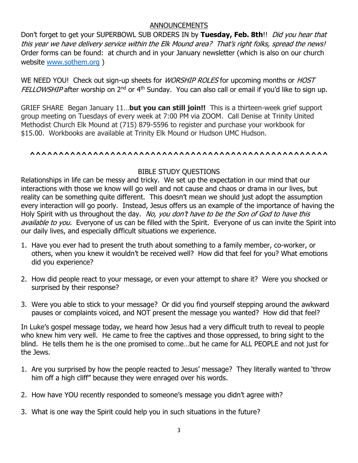#### ANNOUNCEMENTS

Don't forget to get your SUPERBOWL SUB ORDERS IN by Tuesday, Feb. 8th!! *Did you hear that* this year we have delivery service within the Elk Mound area? That's right folks, spread the news! Order forms can be found: at church and in your January newsletter (which is also on our church website [www.sothem.org](http://www.sothem.org/) )

WE NEED YOU! Check out sign-up sheets for *WORSHIP ROLES* for upcoming months or *HOST* FELLOWSHIP after worship on 2<sup>nd</sup> or 4<sup>th</sup> Sunday. You can also call or email if you'd like to sign up.

GRIEF SHARE Began January 11…**but you can still join!!** This is a thirteen-week grief support group meeting on Tuesdays of every week at 7:00 PM via ZOOM. Call Denise at Trinity United Methodist Church Elk Mound at (715) 879-5596 to register and purchase your workbook for \$15.00. Workbooks are available at Trinity Elk Mound or Hudson UMC Hudson.

#### **^^^^^^^^^^^^^^^^^^^^^^^^^^^^^^^^^^^^^^^^^^^^^^^^^^^^**

## BIBLE STUDY QUESTIONS

Relationships in life can be messy and tricky. We set up the expectation in our mind that our interactions with those we know will go well and not cause and chaos or drama in our lives, but reality can be something quite different. This doesn't mean we should just adopt the assumption every interaction will go poorly. Instead, Jesus offers us an example of the importance of having the Holy Spirit with us throughout the day. No, you don't have to be the Son of God to have this available to you. Everyone of us can be filled with the Spirit. Everyone of us can invite the Spirit into our daily lives, and especially difficult situations we experience.

- 1. Have you ever had to present the truth about something to a family member, co-worker, or others, when you knew it wouldn't be received well? How did that feel for you? What emotions did you experience?
- 2. How did people react to your message, or even your attempt to share it? Were you shocked or surprised by their response?
- 3. Were you able to stick to your message? Or did you find yourself stepping around the awkward pauses or complaints voiced, and NOT present the message you wanted? How did that feel?

In Luke's gospel message today, we heard how Jesus had a very difficult truth to reveal to people who knew him very well. He came to free the captives and those oppressed, to bring sight to the blind. He tells them he is the one promised to come…but he came for ALL PEOPLE and not just for the Jews.

- 1. Are you surprised by how the people reacted to Jesus' message? They literally wanted to 'throw him off a high cliff" because they were enraged over his words.
- 2. How have YOU recently responded to someone's message you didn't agree with?
- 3. What is one way the Spirit could help you in such situations in the future?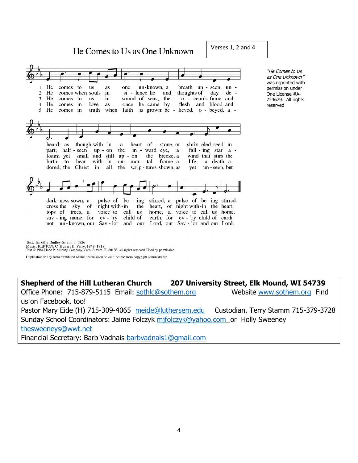He Comes to Us as One Unknown

Verses 1, 2 and 4



Text: Timothy Dudley-Smith, b. 1926<br>Music: REPTON, C. Hubert H. Parry, 1848–1918<br>Text © 1984 Hope Publishing Company, Carol Stream, IL 60188. All rights reserved. Used by permission.

Duplication in any form prohibited without permission or valid license from copyright administrator.

**Shepherd of the Hill Lutheran Church 207 University Street, Elk Mound, WI 54739** Office Phone: 715-879-5115 Email: [sothlc@sothem.org](mailto:sothlc@sothem.org) Website [www.sothem.org](http://www.sothem.org/) Find us on Facebook, too! Pastor Mary Eide (H) 715-309-4065 [meide@luthersem.edu](mailto:meide@luthersem.edu) Custodian, Terry Stamm 715-379-3728 Sunday School Coordinators: Jaime Folczyk [mjfolczyk@yahoo.com](mailto:mjfolczyk@yahoo.com) or Holly Sweeney [thesweeneys@wwt.net](mailto:thesweeneys@wwt.net) Financial Secretary: Barb Vadnais [barbvadnais1@gmail.com](mailto:barbvadnais1@gmail.com)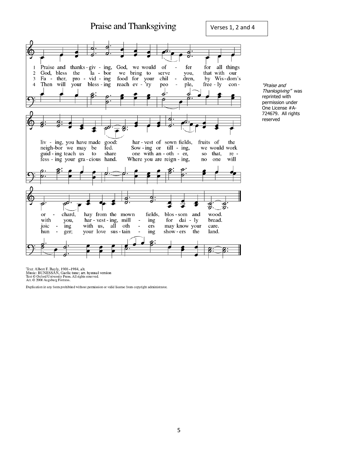Praise and Thanksgiving Verses 1, 2 and 4व  $\overline{c}$ Praise and thanks-giv - ing, God, we would of fer for all things  $\mathbf{1}$  $\overline{a}$  $a - b$ or we bring to that with our  $\overline{2}$ God, bless the serve you, Fa - ther, pro - vid - ing  $\overline{\mathbf{3}}$ food for your chil  $\overline{\phantom{a}}$ dren, by Wis-dom's Then will your bless - ing reach ev - 'ry free - ly con- $\overline{4}$ peo ple, 0 F ₫ liv - ing, you have made good: har-vest of sown fields, fruits of the Sow-ing or till - ing,<br>one with an - oth - er, neigh-bor we may be fed. we would work guid - ing teach us to share so that, re fess - ing your gra-cious hand. Where you are reign - ing,  $\mathbf{n}$ one will d द्गु  $\boldsymbol{\hat{\beta}}$ hay from the mown fields, blos-som and wood.  $or$ chard, bread. har - vest - ing, mill for dai - ly with you,  $\overline{\phantom{a}}$ ing joic with us, all oth may know your ing ers care.  $\overline{\phantom{a}}$ hun  $\overline{a}$ ger; your love sus-tain ing show-ers the land.

"Praise and Thanksgiving" was reprinted with permission under One License #A-724679. All rights reserved

Text: Albert F. Bayly, 1901–1984, alt.<br>Music: BUNESSAN, Gaelic tune; arr. hymnal version<br>Text © Oxford University Press. All rights reserved.<br>Arr. © 2006 Augsburg Fortress.

Duplication in any form prohibited without permission or valid license from copyright administrator.